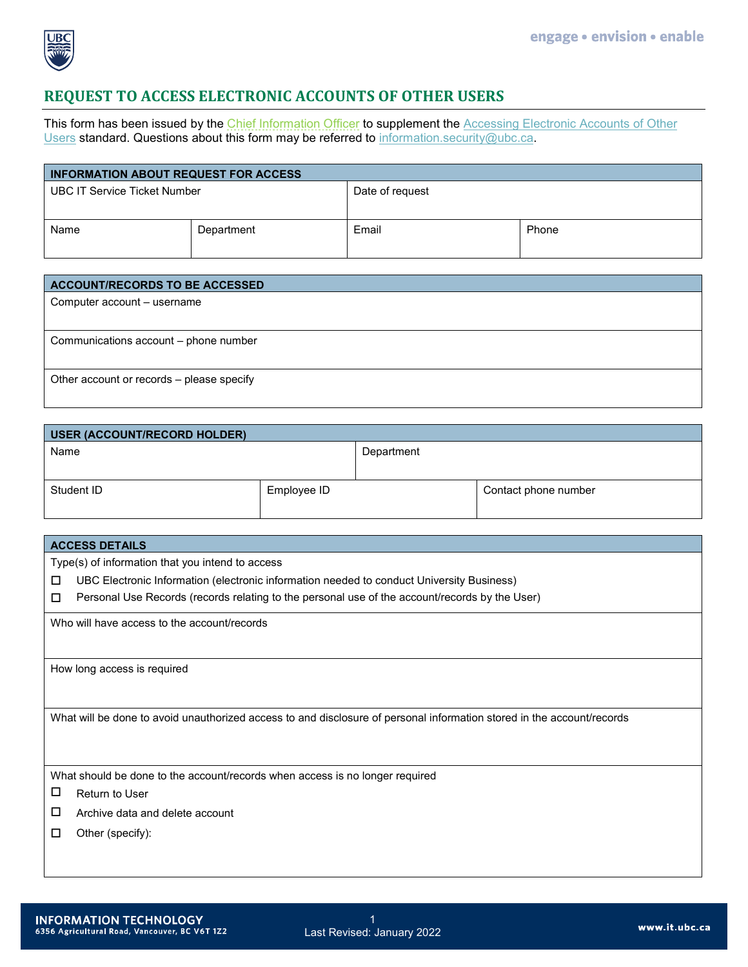

## **REQUEST TO ACCESS ELECTRONIC ACCOUNTS OF OTHER USERS**

This form has been issued by the <u>Chief Information Officer</u> to supplement the <u>Accessing Electronic Accounts of Other</u> [Users](https://cio.ubc.ca/information-security-standards/U10) standard. Questions about this form may be referred to [information.security@ubc.ca.](mailto:information.security@ubc.ca)

| <b>INFORMATION ABOUT REQUEST FOR ACCESS</b> |            |                 |       |  |  |
|---------------------------------------------|------------|-----------------|-------|--|--|
| <b>UBC IT Service Ticket Number</b>         |            | Date of request |       |  |  |
| Name                                        | Department | Email           | Phone |  |  |

| ACCOUNT/RECORDS TO BE ACCESSED            |  |  |
|-------------------------------------------|--|--|
| Computer account - username               |  |  |
|                                           |  |  |
| Communications account - phone number     |  |  |
|                                           |  |  |
| Other account or records - please specify |  |  |
|                                           |  |  |

| USER (ACCOUNT/RECORD HOLDER) |             |            |                      |  |  |
|------------------------------|-------------|------------|----------------------|--|--|
| Name                         |             | Department |                      |  |  |
|                              |             |            |                      |  |  |
| Student ID                   | Employee ID |            | Contact phone number |  |  |

| <b>ACCESS DETAILS</b>                                                                                                  |  |  |  |  |
|------------------------------------------------------------------------------------------------------------------------|--|--|--|--|
| Type(s) of information that you intend to access                                                                       |  |  |  |  |
| UBC Electronic Information (electronic information needed to conduct University Business)<br>□                         |  |  |  |  |
| Personal Use Records (records relating to the personal use of the account/records by the User)<br>□                    |  |  |  |  |
| Who will have access to the account/records                                                                            |  |  |  |  |
|                                                                                                                        |  |  |  |  |
| How long access is required                                                                                            |  |  |  |  |
|                                                                                                                        |  |  |  |  |
|                                                                                                                        |  |  |  |  |
| What will be done to avoid unauthorized access to and disclosure of personal information stored in the account/records |  |  |  |  |
|                                                                                                                        |  |  |  |  |
|                                                                                                                        |  |  |  |  |
| What should be done to the account/records when access is no longer required                                           |  |  |  |  |
| □<br><b>Return to User</b>                                                                                             |  |  |  |  |
| □<br>Archive data and delete account                                                                                   |  |  |  |  |
| Other (specify):<br>□                                                                                                  |  |  |  |  |
|                                                                                                                        |  |  |  |  |